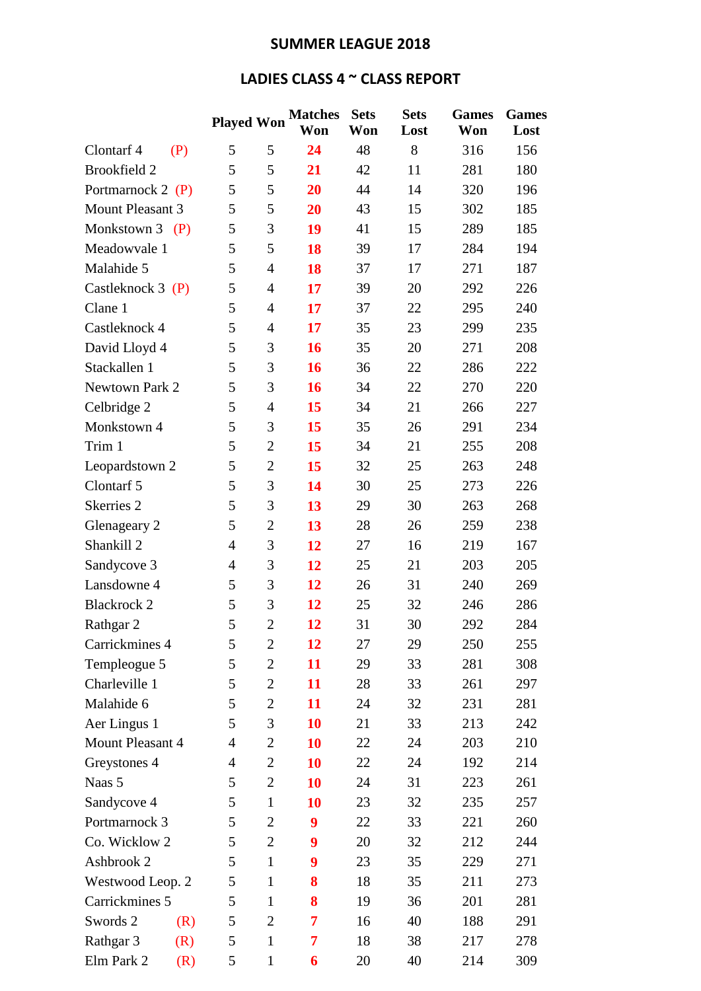## **SUMMER LEAGUE 2018**

## **LADIES CLASS 4 ~ CLASS REPORT**

|                         | <b>Played Won</b> |                | <b>Matches</b> | <b>Sets</b> | <b>Sets</b> | <b>Games</b> | <b>Games</b> |
|-------------------------|-------------------|----------------|----------------|-------------|-------------|--------------|--------------|
|                         |                   |                | Won            | Won         | Lost        | Won          | Lost         |
| Clontarf 4<br>(P)       | 5                 | 5              | 24             | 48          | 8           | 316          | 156          |
| <b>Brookfield 2</b>     | 5                 | 5              | 21             | 42          | 11          | 281          | 180          |
| Portmarnock 2 (P)       | 5                 | 5              | 20             | 44          | 14          | 320          | 196          |
| <b>Mount Pleasant 3</b> | 5                 | 5              | 20             | 43          | 15          | 302          | 185          |
| Monkstown $3$ (P)       | 5                 | 3              | 19             | 41          | 15          | 289          | 185          |
| Meadowvale 1            | 5                 | 5              | 18             | 39          | 17          | 284          | 194          |
| Malahide 5              | 5                 | $\overline{4}$ | 18             | 37          | 17          | 271          | 187          |
| Castleknock $3(P)$      | 5                 | 4              | 17             | 39          | 20          | 292          | 226          |
| Clane 1                 | 5                 | 4              | 17             | 37          | 22          | 295          | 240          |
| Castleknock 4           | 5                 | 4              | 17             | 35          | 23          | 299          | 235          |
| David Lloyd 4           | 5                 | 3              | 16             | 35          | 20          | 271          | 208          |
| Stackallen 1            | 5                 | 3              | 16             | 36          | 22          | 286          | 222          |
| Newtown Park 2          | 5                 | 3              | 16             | 34          | 22          | 270          | 220          |
| Celbridge 2             | 5                 | 4              | 15             | 34          | 21          | 266          | 227          |
| Monkstown 4             | 5                 | 3              | 15             | 35          | 26          | 291          | 234          |
| Trim 1                  | 5                 | $\overline{2}$ | 15             | 34          | 21          | 255          | 208          |
| Leopardstown 2          | 5                 | $\overline{2}$ | 15             | 32          | 25          | 263          | 248          |
| Clontarf 5              | 5                 | 3              | 14             | 30          | 25          | 273          | 226          |
| Skerries <sub>2</sub>   | 5                 | 3              | 13             | 29          | 30          | 263          | 268          |
| Glenageary 2            | 5                 | $\overline{2}$ | 13             | 28          | 26          | 259          | 238          |
| Shankill 2              | $\overline{4}$    | 3              | 12             | 27          | 16          | 219          | 167          |
| Sandycove 3             | $\overline{4}$    | 3              | 12             | 25          | 21          | 203          | 205          |
| Lansdowne 4             | 5                 | 3              | 12             | 26          | 31          | 240          | 269          |
| <b>Blackrock 2</b>      | 5                 | 3              | 12             | 25          | 32          | 246          | 286          |
| Rathgar 2               | 5                 | $\overline{2}$ | 12             | 31          | 30          | 292          | 284          |
| Carrickmines 4          | 5                 | $\overline{2}$ | 12             | 27          | 29          | 250          | 255          |
| Templeogue 5            | 5                 | $\overline{2}$ | 11             | 29          | 33          | 281          | 308          |
| Charleville 1           | 5                 | $\overline{c}$ | 11             | 28          | 33          | 261          | 297          |
| Malahide 6              | 5                 | $\overline{2}$ | 11             | 24          | 32          | 231          | 281          |
| Aer Lingus 1            | 5                 | 3              | 10             | 21          | 33          | 213          | 242          |
| Mount Pleasant 4        | 4                 | $\mathbf{2}$   | 10             | 22          | 24          | 203          | 210          |
| Greystones 4            | 4                 | $\overline{2}$ | 10             | 22          | 24          | 192          | 214          |
| Naas 5                  | 5                 | $\overline{2}$ | 10             | 24          | 31          | 223          | 261          |
| Sandycove 4             | 5                 | $\mathbf{1}$   | 10             | 23          | 32          | 235          | 257          |
| Portmarnock 3           | 5                 | $\mathbf{2}$   | 9              | 22          | 33          | 221          | 260          |
| Co. Wicklow 2           | 5                 | $\overline{2}$ | 9              | 20          | 32          | 212          | 244          |
| Ashbrook 2              | 5                 | $\mathbf{1}$   | 9              | 23          | 35          | 229          | 271          |
| Westwood Leop. 2        | 5                 | $\mathbf{1}$   | 8              | 18          | 35          | 211          | 273          |
| Carrickmines 5          | 5                 | $\mathbf{1}$   | 8              | 19          | 36          | 201          | 281          |
| Swords 2<br>(R)         | 5                 | $\overline{c}$ | 7              | 16          | 40          | 188          | 291          |
| Rathgar 3<br>(R)        | 5                 | $\mathbf{1}$   | 7              | 18          | 38          | 217          | 278          |
| Elm Park 2<br>(R)       | 5                 | $\mathbf{1}$   | 6              | 20          | 40          | 214          | 309          |